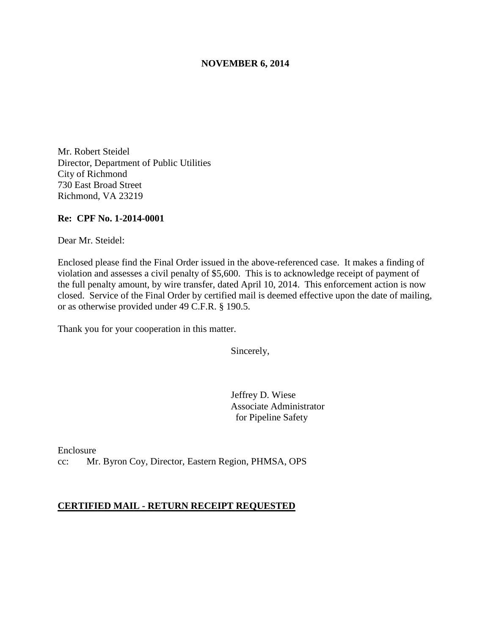### **NOVEMBER 6, 2014**

Mr. Robert Steidel Director, Department of Public Utilities City of Richmond 730 East Broad Street Richmond, VA 23219

### **Re: CPF No. 1-2014-0001**

Dear Mr. Steidel:

Enclosed please find the Final Order issued in the above-referenced case. It makes a finding of violation and assesses a civil penalty of \$5,600. This is to acknowledge receipt of payment of the full penalty amount, by wire transfer, dated April 10, 2014. This enforcement action is now closed. Service of the Final Order by certified mail is deemed effective upon the date of mailing, or as otherwise provided under 49 C.F.R. § 190.5.

Thank you for your cooperation in this matter.

Sincerely,

Jeffrey D. Wiese Associate Administrator for Pipeline Safety

Enclosure cc: Mr. Byron Coy, Director, Eastern Region, PHMSA, OPS

#### **CERTIFIED MAIL - RETURN RECEIPT REQUESTED**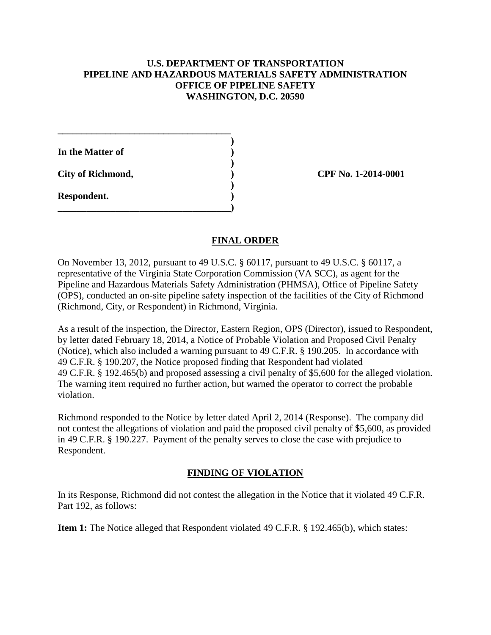# **U.S. DEPARTMENT OF TRANSPORTATION PIPELINE AND HAZARDOUS MATERIALS SAFETY ADMINISTRATION OFFICE OF PIPELINE SAFETY WASHINGTON, D.C. 20590**

| In the Matter of         |  |
|--------------------------|--|
| <b>City of Richmond,</b> |  |
| Respondent.              |  |

**\_\_\_\_\_\_\_\_\_\_\_\_\_\_\_\_\_\_\_\_\_\_\_\_\_\_\_\_\_\_\_\_\_\_\_\_)** 

**\_\_\_\_\_\_\_\_\_\_\_\_\_\_\_\_\_\_\_\_\_\_\_\_\_\_\_\_\_\_\_\_\_\_\_\_** 

**City of Richmond, ) CPF No. 1-2014-0001**

# **FINAL ORDER**

On November 13, 2012, pursuant to 49 U.S.C. § 60117, pursuant to 49 U.S.C. § 60117, a representative of the Virginia State Corporation Commission (VA SCC), as agent for the Pipeline and Hazardous Materials Safety Administration (PHMSA), Office of Pipeline Safety (OPS), conducted an on-site pipeline safety inspection of the facilities of the City of Richmond (Richmond, City, or Respondent) in Richmond, Virginia.

As a result of the inspection, the Director, Eastern Region, OPS (Director), issued to Respondent, by letter dated February 18, 2014, a Notice of Probable Violation and Proposed Civil Penalty (Notice), which also included a warning pursuant to 49 C.F.R. § 190.205. In accordance with 49 C.F.R. § 190.207, the Notice proposed finding that Respondent had violated 49 C.F.R. § 192.465(b) and proposed assessing a civil penalty of \$5,600 for the alleged violation. The warning item required no further action, but warned the operator to correct the probable violation.

Richmond responded to the Notice by letter dated April 2, 2014 (Response). The company did not contest the allegations of violation and paid the proposed civil penalty of \$5,600, as provided in 49 C.F.R. § 190.227. Payment of the penalty serves to close the case with prejudice to Respondent.

## **FINDING OF VIOLATION**

In its Response, Richmond did not contest the allegation in the Notice that it violated 49 C.F.R. Part 192, as follows:

**Item 1:** The Notice alleged that Respondent violated 49 C.F.R. § 192.465(b), which states: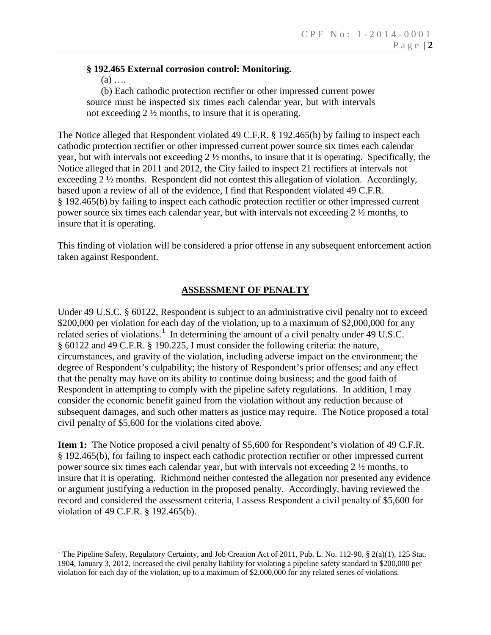## **§ 192.465 External corrosion control: Monitoring.**

 $(a)$  ....

 $\overline{a}$ 

(b) Each cathodic protection rectifier or other impressed current power source must be inspected six times each calendar year, but with intervals not exceeding 2 ½ months, to insure that it is operating.

The Notice alleged that Respondent violated 49 C.F.R. § 192.465(b) by failing to inspect each cathodic protection rectifier or other impressed current power source six times each calendar year, but with intervals not exceeding  $2\frac{1}{2}$  months, to insure that it is operating. Specifically, the Notice alleged that in 2011 and 2012, the City failed to inspect 21 rectifiers at intervals not exceeding 2 ½ months. Respondent did not contest this allegation of violation. Accordingly, based upon a review of all of the evidence, I find that Respondent violated 49 C.F.R. § 192.465(b) by failing to inspect each cathodic protection rectifier or other impressed current power source six times each calendar year, but with intervals not exceeding 2 ½ months, to insure that it is operating.

This finding of violation will be considered a prior offense in any subsequent enforcement action taken against Respondent.

### **ASSESSMENT OF PENALTY**

Under 49 U.S.C. § 60122, Respondent is subject to an administrative civil penalty not to exceed \$200,000 per violation for each day of the violation, up to a maximum of \$2,000,000 for any related series of violations.<sup>1</sup> In determining the amount of a civil penalty under 49 U.S.C. § 60122 and 49 C.F.R. § 190.225, I must consider the following criteria: the nature, circumstances, and gravity of the violation, including adverse impact on the environment; the degree of Respondent's culpability; the history of Respondent's prior offenses; and any effect that the penalty may have on its ability to continue doing business; and the good faith of Respondent in attempting to comply with the pipeline safety regulations. In addition, I may consider the economic benefit gained from the violation without any reduction because of subsequent damages, and such other matters as justice may require. The Notice proposed a total civil penalty of \$5,600 for the violations cited above.

**Item 1:** The Notice proposed a civil penalty of \$5,600 for Respondent's violation of 49 C.F.R. § 192.465(b), for failing to inspect each cathodic protection rectifier or other impressed current power source six times each calendar year, but with intervals not exceeding 2 ½ months, to insure that it is operating. Richmond neither contested the allegation nor presented any evidence or argument justifying a reduction in the proposed penalty. Accordingly, having reviewed the record and considered the assessment criteria, I assess Respondent a civil penalty of \$5,600 for violation of 49 C.F.R. § 192.465(b).

<sup>&</sup>lt;sup>1</sup> The Pipeline Safety, Regulatory Certainty, and Job Creation Act of 2011, Pub. L. No. 112-90, § 2(a)(1), 125 Stat. 1904, January 3, 2012, increased the civil penalty liability for violating a pipeline safety standard to \$200,000 per violation for each day of the violation, up to a maximum of \$2,000,000 for any related series of violations.